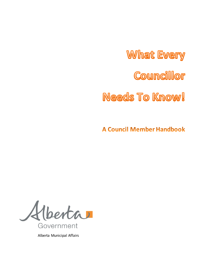**What Every** Councillor **Needs To Know!** 

**A Council Member Handbook** 

 $\overline{\mathcal{A}}$ berta Government

Alberta Municipal Affairs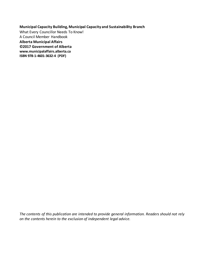**Municipal Capacity Building, Municipal Capacity and Sustainability Branch**  What Every Councillor Needs To Know! A Council Member Handbook **Alberta Municipal Affairs ©2017 Government of Alberta www.municipalaffairs.alberta.ca ISBN 978-1-4601-3632-4 (PDF)** 

*The contents of this publication are intended to provide general information. Readers should not rely on the contents herein to the exclusion of independent legal advice.*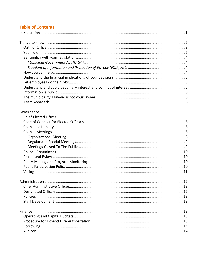# **Table of Contents**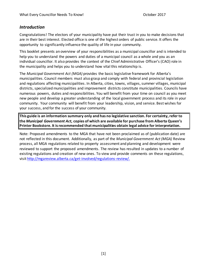### <span id="page-4-0"></span>*Introduction*

Congratulations! The electors of your municipality have put their trust in you to make decisions that are in their best interest. Elected office is one of the highest orders of public service. It offers the opportunity to significantly influence the quality of life in your community.

This booklet presents an overview of your responsibilities as a municipal councillor and is intended to help you to understand the powers and duties of a municipal council as a whole and you as an individual councillor. It also provides the context of the Chief Administrative Officer's (CAO) role in the municipality and helps you to understand how vital this relationship is.

The *Municipal Government Act (MGA)* provides the basic legislative framework for Alberta's municipalities. Council members must also grasp and comply with federal and provincial legislation and regulations affecting municipalities. In Alberta, cities, towns, villages, summer villages, municipal districts, specialized municipalities and improvement districts constitute municipalities. Councils have numerous powers, duties and responsibilities. You will benefit from your time on council as you meet new people and develop a greater understanding of the local government process and its role in your community. Your community will benefit from your leadership, vision, and service. Best wishes for your success, and for the success of your community.

**This guide is an information summary only and has no legislative sanction. For certainty, refer to the** *Municipal Government Act,* **copies of which are available for purchase from Alberta Queen's Printer Bookstore. It is recommended that municipalities obtain legal advice for interpretation.**

Note: Proposed amendments to the MGA that have not been proclaimed as of (publication date) are not reflected in this document. Additionally, as part of the *Municipal Government Act (MGA)* Review process, all MGA regulations related to property assessment and planning and development were reviewed to support the proposed amendments. The review has resulted in updates to a number of existing regulations and creation of new ones. To view and provide comments on these regulations, visi[t http://mgareview.alberta.ca/get-involved/regulations-review/.](http://mgareview.alberta.ca/get-involved/regulations-review/)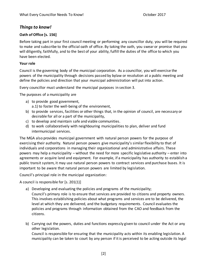## <span id="page-5-0"></span>*Things to know!*

### <span id="page-5-1"></span>**Oath of Office [s. 156]**

Before taking part in your first council meeting or performing any councillor duty, you will be required to make and subscribe to the official oath of office. By taking the oath, you swear or promise that you will diligently, faithfully, and to the best of your ability, fulfill the duties of the office to which you have been elected.

#### <span id="page-5-2"></span>**Your role**

Council is the governing body of the municipal corporation. As a councillor, you will exercise the powers of the municipality through decisions passed by bylaw or resolution at a public meeting and define the policies and direction that your municipal administration will put into action.

Every councillor must understand the municipal purposes in section 3.

The purposes of a municipality are

- a) to provide good government, a.1) to foster the well-being of the environment,
- b) to provide services, facilities or other things that, in the opinion of council, are necessary or desirable for all or a part of the municipality,
- c) to develop and maintain safe and viable communities.
- d) to work collaboratively with neighbouring municipalities to plan, deliver and fund intermunicipal services.

The MGA also provides municipal government with natural person powers for the purpose of exercising their authority. Natural person powers give municipality's similar flexibility to that of individuals and corporations in managing their organizational and administrative affairs. These powers may help a municipality – without the need for more specific legislative authority – enter into agreements or acquire land and equipment. For example, if a municipality has authority to establish a public transit system, it may use natural person powers to contract services and purchase buses. It is important to be aware that natural person powers are limited by legislation.

Council's principal role in the municipal organization:

A council is responsible for [s. 201(1)]

- a) Developing and evaluating the policies and programs of the municipality; Council's primary role is to ensure that services are provided to citizens and property owners. This involves establishing policies about what programs and services are to be delivered, the level at which they are delivered, and the budgetary requirements. Council evaluates the policies and programs through information obtained from the CAO and feedback from the citizens.
- b) Carrying out the powers, duties and functions expressly given to council under the Act or any other legislation.

Council is responsible for ensuring that the municipality acts within its enabling legislation. A municipality can be taken to court by any person if it is perceived to be acting outside its legal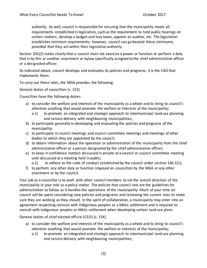authority. As well, council is responsible for ensuring that the municipality meets all requirements established in legislation, such as the requirement to hold public hearings on certain matters, develop a budget and levy taxes, appoint an auditor, etc. The legislation establishes minimum requirements; however, council can go beyond these minimums, provided that they act within their legislative authority.

Section 201(2) states clearly that a council must not exercise a power or function or perform a duty that is by this or another enactment or bylaw specifically assigned to the chief administrative officer or a designated officer.

As indicated above, council develops and evaluates its policies and programs; it is the CAO that implements them.

To carry out these roles, the MGA provides the following:

General duties of councillors [s. 153]

Councillors have the following duties:

- a) to consider the welfare and interests of the municipality as a whole and to bring to council's attention anything that would promote the welfare or interests of the municipality;
	- a.1) to promote an integrated and strategic approach to intermunicipal land use planning and service delivery with neighbouring municipalities;
- b) to participate generally in developing and evaluating the policies and programs of the municipality;
- c) to participate in council meetings and council committee meetings and meetings of other bodies to which they are appointed by the council;
- d) to obtain information about the operation or administration of the municipality from the chief administrative officer or a person designated by the chief administrative officer;
- e) to keep in confidence matters discussed in private at a council or council committee meeting until discussed at a meeting held in public;

e.1) to adhere to the code of conduct established by the council under section 146.1(1);

f) to perform any other duty or function imposed on councillors by the MGA or any other enactment or by the council.

Your job as a councillor is to work with other council members to set the overall direction of the municipality in your role as a policy-maker. The policies that council sets are the guidelines for administration to follow as it handles the operations of the municipality. Much of your time on council will be spent considering new policies and programs and reviewing the current ones to make sure they are working as they should. In the spirit of collaboration, a municipality may enter into an agreement respecting services with Indigenous peoples or a Métis settlement and is required to consult with Indigenous peoples or Métis settlement when developing certain land use plans.

General duties of chief elected official (CEO) [s. 154]

- a) to consider the welfare and interests of the municipality as a whole and to bring to council's attention anything that would promote the welfare or interests of the municipality;
	- a.1) to promote an integrated and strategic approach to intermunicipal land use planning and service delivery with neighbouring municipalities;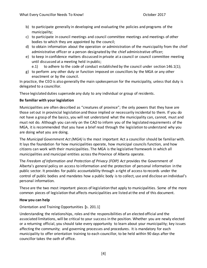- b) to participate generally in developing and evaluating the policies and programs of the municipality;
- c) to participate in council meetings and council committee meetings and meetings of other bodies to which they are appointed by the council;
- d) to obtain information about the operation or administration of the municipality from the chief administrative officer or a person designated by the chief administrative officer;
- e) to keep in confidence matters discussed in private at a council or council committee meeting until discussed at a meeting held in public;
	- e.1) to adhere to the code of conduct established by the council under section  $146.1(1)$ ;
- g) to perform any other duty or function imposed on councillors by the MGA or any other enactment or by the council.

In practice, the CEO is also generally the main spokesperson for the municipality, unless that duty is delegated to a councillor.

These legislated duties supersede any duty to any individual or group of residents.

### <span id="page-7-0"></span>**Be familiar with your legislation**

Municipalities are often described as "creatures of province"; the only powers that they have are those set out in provincial legislation and those implied or necessarily incidental to them. If you do not have a grasp of the basics, you will not understand what the municipality can, cannot, must and must not do. Although you can rely on the CAO to inform you of the legislated requirements of the MGA, it is recommended that you have a brief read through the legislation to understand why you are doing what you are doing.

<span id="page-7-1"></span>The *Municipal Government Act (MGA)* is the most important Act a councillor should be familiar with. It lays the foundation for how municipalities operate, how municipal councils function, and how citizens can work with their municipalities. The MGA is the legislative framework in which all municipalities and municipal entities across the Province of Alberta operate.

<span id="page-7-2"></span>The *Freedom of Information and Protection of Privacy (FOIP) Act* provides the Government of Alberta's general policy on access to information and the protection of personal information in the public sector. It provides for public accountability through a right of access to records under the control of public bodies and mandates how a public body is to collect, use and disclose an individual's personal information.

These are the two most important pieces of legislation that apply to municipalities. Some of the more common pieces of legislation that affects municipalities are listed at the end of this document.

### <span id="page-7-3"></span>**How you can help**

Orientation and Training Opportunities **[**s. 201.1]

Understanding the relationships, roles and the responsibilities of an elected official and the associated limitations, will be critical to your success in the position. Whether you are newly elected or a returning official, you should take every opportunity to learn about your municipality; key issues affecting the community; and governing processes and procedures. It is mandatory for each municipality to offer orientation training to each councillor, to be held within 90 days after the councillor takes the oath of office.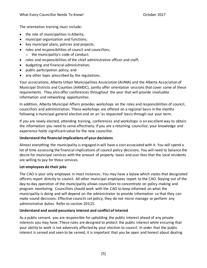The orientation training must include:

- the role of municipalities in Alberta;
- municipal organization and functions;
- key municipal plans, policies and projects;
- roles and responsibilities of council and councillors; o the municipality's code of conduct;
- roles and responsibilities of the chief administrative officer and staff;
- budgeting and financial administration;
- public participation policy; and
- any other topic prescribed by the regulations.

Your associations, Alberta Urban Municipalities Association (AUMA) and the Alberta Association of Municipal Districts and Counties (AAMDC), jointly offer orientation sessions that cover some of these requirements. They also offer conferences throughout the year that will provide invaluable information and networking opportunities.

In addition, Alberta Municipal Affairs provides workshops on the roles and responsibilities of council, councillors and administration. These workshops are offered on a regional basis in the months following a municipal general election and on an 'as requested' basis through-out your term.

If you are newly elected, attending training, conferences and workshops is an excellent way to obtain the information you need to serve effectively. If you are a returning councillor, your knowledge and experience holds significant value for the new councillor.

## <span id="page-8-0"></span>**Understand the financial implications of your decisions**

Almost everything the municipality is engaged in will have a cost associated with it. You will spend a lot of time assessing the financial implications of council policy decisions. You will need to balance the desire for municipal services with the amount of property taxes and user fees that the local residents are willing to pay for those services.

### <span id="page-8-1"></span>**Let employees do their jobs**

The CAO is your only employee in most instances. You may have a bylaw which states that designated officers report directly to council. All other municipal employees report to the CAO. Staying out of the day-to-day operation of the municipality allows councillors to concentrate on policy-making and program monitoring. Councillors should work with the CAO to keep informed on what the municipality is doing and will depend on the administrator to provide information so that they can make sound decisions. Effective councils set policy; they do not micro-manage or perform any administrative duties. Refer to section 201(2).

## <span id="page-8-2"></span>**Understand and avoid pecuniary interest and conflict of interest**

As a public servant, you are responsible for upholding the public interest ahead of any private interests you may have. These rules are designed to protect the public interest while ensuring that your ability to work is not adversely affected by your election to council. In order that the public interest is served and seen to be served, it is important that you be open and honest about dealing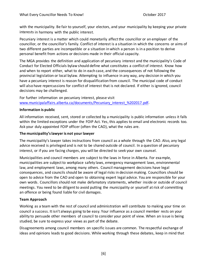with the municipality. Be fair to yourself, your electors, and your municipality by keeping your private interests in harmony with the public interest.

Pecuniary interest is a matter which could monetarily affect the councillor or an employer of the councillor, or the councillor's family. Conflict of interest is a situation in which the concerns or aims of two different parties are incompatible or a situation in which a person is in a position to derive personal benefit from actions or decisions made in their official capacity.

The MGA provides the definition and application of pecuniary interest and the municipality's Code of Conduct for Elected Officials bylaw should define what constitutes a conflict of interest. Know how and when to report either, what to do in each case, and the consequences of not following the provincial legislation or local bylaw. Attempting to influence in any way, any decision in which you have a pecuniary interest is reason for disqualification from council. The municipal code of conduct will also have repercussions for conflict of interest that is not declared. If either is ignored, council decisions may be challenged.

For further information on pecuniary interest, please visit [www.municipalaffairs.alberta.ca/documents/Pecuniary\\_interest\\_%202017.pdf.](http://www.municipalaffairs.alberta.ca/documents/Pecuniary_interest_%202017.pdf)

#### <span id="page-9-0"></span>**Information is public**

All information received, sent, stored or collected by a municipality is public information unless it falls within the limited exceptions under the FOIP Act. Yes, this applies to email and electronic records too. Ask your duly appointed FOIP officer (often the CAO), what the rules are.

#### <span id="page-9-1"></span>**The municipality's lawyer is not your lawyer**

The municipality's lawyer takes instructions from council as a whole through the CAO. Also, any legal advice received is privileged and is not to be shared outside of council. In a question of pecuniary interest, or if you are facing charges, you will be directed to seek your own counsel.

Municipalities and council members are subject to the laws in force in Alberta. For example, municipalities are subject to workplace safety laws, emergency management laws, environmental law, and employment laws, among many others. Council management decisions have legal consequences, and councils should be aware of legal risks in decision making. Councillors should be open to advice from the CAO and open to obtaining expert legal advice. You are responsible for your own words. Councillors should not make defamatory statements, whether inside or outside of council meetings. You need to be diligent to avoid putting the municipality or yourself at risk of committing an offence or being found liable for civil damages.

#### <span id="page-9-2"></span>**Team Approach**

Working as a team with the rest of council and administration will contribute to making your time on council a success. It isn't always going to be easy. Your influence as a council member rests on your ability to persuade other members of council to consider your point of view. When an issue is being studied, be sure to express your views as part of the debate.

Disagreements among council members on specific issues are common. The respectful exchange of ideas and opinions leads to good decisions. While working through these debates, keep in mind that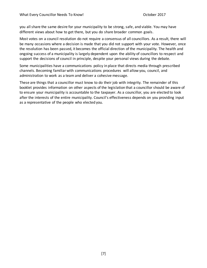you all share the same desire for your municipality to be strong, safe, and viable. You may have different views about how to get there, but you do share broader common goals.

Most votes on a council resolution do not require a consensus of all councillors. As a result, there will be many occasions where a decision is made that you did not support with your vote. However, once the resolution has been passed, it becomes the official direction of the municipality. The health and ongoing success of a municipality is largely dependent upon the ability of councillors to respect and support the decisions of council in principle, despite your personal views during the debate.

Some municipalities have a communications policy in place that directs media through prescribed channels. Becoming familiar with communications procedures will allow you, council, and administration to work as a team and deliver a cohesive message.

These are things that a councillor must know to do their job with integrity. The remainder of this booklet provides information on other aspects of the legislation that a councillor should be aware of to ensure your municipality is accountable to the taxpayer. As a councillor, you are elected to look after the interests of the entire municipality. Council's effectiveness depends on you providing input as a representative of the people who elected you.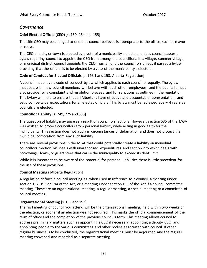## <span id="page-11-0"></span>*Governance*

### <span id="page-11-1"></span>**Chief Elected Official (CEO)** [s. 150, 154 and 155]

The title CEO may be changed to one that council believes is appropriate to the office, such as mayor or reeve.

The CEO of a city or town is elected by a vote of a municipality's electors, unless council passes a bylaw requiring council to appoint the CEO from among the councillors. In a village, summer village, or municipal district, council appoints the CEO from among the councillors unless it passes a bylaw providing that the official is to be elected by a vote of the municipality's electors.

### <span id="page-11-2"></span>**Code of Conduct for Elected Officials** [s. 146.1 and 153, Alberta Regulation]

A council must have a code of conduct bylaw which applies to each councillor equally. The bylaw must establish how council members will behave with each other, employees, and the public. It must also provide for a complaint and resolution process, and for sanctions as outlined in the regulation. This bylaw will help to ensure that all Albertans have effective and accountable representation, and set province-wide expectations for all elected officials. This bylaw must be reviewed every 4 years as councils are elected.

### <span id="page-11-3"></span>**Councillor Liability** [s. 249, 275 and 535]

The question of liability may arise as a result of councillors' actions. However, section 535 of the MGA was written to protect councillors from personal liability while acting in good faith for the municipality. This section does not apply in circumstances of defamation and does not protect the municipal corporation from any such liability.

<span id="page-11-4"></span>There are several provisions in the MGA that could potentially create a liability on individual councillors. Section 249 deals with unauthorized expenditures and section 275 which deals with borrowings, loans, or guarantees that cause the municipality to exceed its debt limit.

While it is important to be aware of the potential for personal liabilities there is little precedent for the use of these provisions.

### **Council Meetings**[Alberta Regulation]

A regulation defines a council meeting as, when used in reference to a council, a meeting under section 192, 193 or 194 of the Act, or a meeting under section 195 of the Act if a council committee meeting. These are an organizational meeting, a regular meeting, a special meeting or a committee of council meeting.

### <span id="page-11-5"></span>**Organizational Meeting** [s. 159 and 192]

The first meeting of council you attend will be the organizational meeting, held within two weeks of the election, or sooner if an election was not required. This marks the official commencement of the term of office and the completion of the previous council's term. This meeting allows council to address preliminary matters such as appointing a CEO if necessary, appointing a deputy CEO, and appointing people to the various committees and other bodies associated with council. If other regular business is to be conducted, the organizational meeting must be adjourned and the regular meeting convened and recorded as a separate meeting.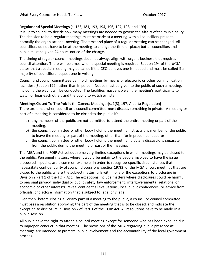#### <span id="page-12-0"></span>**Regular and Special Meetings**[s. 153, 181, 193, 194, 196, 197, 198, and 199]

It is up to council to decide how many meetings are needed to govern the affairs of the municipality. The decision to hold regular meetings must be made at a meeting with all councillors present, normally the organizational meeting. The time and place of a regular meeting can be changed. All councillors do not have to be at the meeting to change the time or place; but all councillors and public must be given 24 hours-notice of the change.

The timing of regular council meetings does not always align with urgent business that requires council attention. There will be times when a special meeting is required. Section 194 of the *MGA* states that a special meeting may be called if the CEO believes one is needed and must be called if a majority of councillors request one in writing.

Council and council committees can hold meetings by means of electronic or other communication facilities, (Section 199) rather than in person. Notice must be given to the public of such a meeting, including the way it will be conducted. The facilities must enable all the meeting's participants to watch or hear each other, and the public to watch or listen.

<span id="page-12-1"></span>**Meetings Closed To The Public** (In-Camera Meetings)[s. 1(3), 197, Alberta Regulation] There are times when council or a council committee must discuss something in private. A meeting or part of a meeting is considered to be closed to the public if:

- a) any members of the public are not permitted to attend the entire meeting or part of the meeting,
- b) the council, committee or other body holding the meeting instructs any member of the public to leave the meeting or part of the meeting, other than for improper conduct, or
- c) the council, committee or other body holding the meeting holds any discussions separate from the public during the meeting or part of the meeting.

The MGA and the FOIP Act set out some very limited exceptions in which meetings may be closed to the public. Personnel matters, where it would be unfair to the people involved to have the issue discussed in public, are a common example. In order to recognize specific circumstances that necessitate confidentiality of council discussions, section 197(2) of the MGA allows meetings that are closed to the public where the subject matter falls within one of the exceptions to disclosure in Division 2 Part 1 of the FOIP Act. The exceptions include matters where disclosures could be harmful to personal privacy, individual or public safety, law enforcement, intergovernmental relations, or economic or other interests; reveal confidential evaluations, local public confidences, or advice from officials; or disclose information that is subject to legal privilege.

Even then, before closing all or any part of a meeting to the public, a council or council committee must pass a resolution approving the part of the meeting that is to be closed, and indicate the exception to disclosure in Division 2 of Part 1 of the FOIP Act. All resolutions have to be made in a public session.

All public have the right to attend a council meeting except for someone who has been expelled due to improper conduct in that meeting. The provisions of the MGA regarding public presence at meetings are intended to promote public involvement and the accountability of the local government process.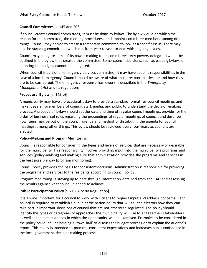#### <span id="page-13-0"></span>**Council Committees**[s. 145 and 203]

If council creates council committees, it must be done by bylaw. The bylaw would establish the reason for the committee, the meeting procedures, and appoint committee members among other things. Council may decide to create a temporary committee to look at a specific issue. There may also be standing committees which run from year to year to deal with ongoing issues.

Council may delegate some of its power making to its committees. Any powers delegated would be outlined in the bylaw that created the committee. Some council decisions, such as passing bylaws or adopting the budget, cannot be delegated.

When council is part of an emergency services committee, it may have specific responsibilities in the case of a local emergency. Council should be aware of what those responsibilities are and how they are to be carried out. The emergency response framework is described in the *Emergency Management Act* and its regulations.

#### <span id="page-13-1"></span>**Procedural Bylaw** [s. 145(b)]

A municipality may have a procedural bylaw to provide a standard format for council meetings and make it easier for members of council, staff, media, and public to understand the decision-making process. A procedural bylaw should set the date and time of regular council meetings, provide for the order of business, set rules regarding the proceedings at regular meetings of council, and describe how items may be put on the council agenda and method of distributing the agenda for council meetings, among other things. This bylaw should be reviewed every four years as councils are elected.

#### <span id="page-13-2"></span>**Policy-Making and Program Monitoring**

Council is responsible for considering the types and levels of services that are necessary or desirable for the municipality. This responsibility involves providing input into the municipality's programs and services (policy-making) and making sure that administration provides the programs and services in the best possible way (program monitoring).

Council policy provides the basis for consistent decisions. Administration is responsible for providing the programs and services to the residents according to council policy.

Program monitoring is staying up to date through information obtained from the CAO and assessing the results against what council planned to achieve.

### <span id="page-13-3"></span>**Public Participation Policy** [s. 216, Alberta Regulation]

<span id="page-13-4"></span>It is always important for a council to work with citizens to request input and address concerns. Each council is required to establish a public participation policy that will tell the electors how they can take part in important decisions of council that are not otherwise regulated. The policy should identify the types or categories of approaches the municipality will use to engage their stakeholders as well as the circumstances in which the opportunity will be exercised. Examples to be considered in the policy could include holding a 'town hall' to discuss the budget process or to explain the auditor's report. This policy is intended to promote consistent expectations and increases public confidence in the local government decision making process.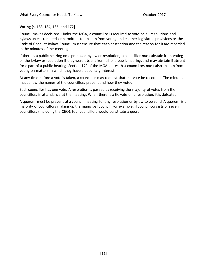**Voting** [s. 183, 184, 185, and 172]

Council makes decisions. Under the MGA, a councillor is required to vote on all resolutions and bylaws unless required or permitted to abstain from voting under other legislated provisions or the Code of Conduct Bylaw. Council must ensure that each abstention and the reason for it are recorded in the minutes of the meeting.

If there is a public hearing on a proposed bylaw or resolution, a councillor must abstain from voting on the bylaw or resolution if they were absent from all of a public hearing, and may abstain if absent for a part of a public hearing. Section 172 of the MGA states that councillors must also abstain from voting on matters in which they have a pecuniary interest.

At any time before a vote is taken, a councillor may request that the vote be recorded. The minutes must show the names of the councillors present and how they voted.

Each councillor has one vote. A resolution is passed by receiving the majority of votes from the councillors in attendance at the meeting. When there is a tie vote on a resolution, it is defeated.

<span id="page-14-0"></span>A quorum must be present at a council meeting for any resolution or bylaw to be valid. A quorum is a majority of councillors making up the municipal council. For example, if council consists of seven councillors (including the CEO); four councillors would constitute a quorum.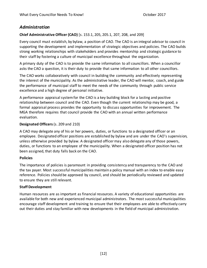## *Administration*

### <span id="page-15-0"></span>**Chief Administrative Officer (CAO)** [s. 153.1, 205, 205.1, 207, 208, and 209]

Every council must establish, by bylaw, a position of CAO. The CAO is an integral advisor to council in supporting the development and implementation of strategic objectives and policies. The CAO builds strong working relationships with stakeholders and provides mentorship and strategic guidance to their staff by fostering a culture of municipal excellence throughout the organization.

A primary duty of the CAO is to provide the same information to all councillors. When a councillor asks the CAO a question, it is their duty to provide that same information to all other councillors.

The CAO works collaboratively with council in building the community and effectively representing the interest of the municipality. As the administrative leader, the CAO will mentor, coach, and guide the performance of municipal staff to meet the needs of the community through public service excellence and a high degree of personal initiative.

A performance appraisal system for the CAO is a key building block for a lasting and positive relationship between council and the CAO. Even though the current relationship may be good, a formal appraisal process provides the opportunity to discuss opportunities for improvement. The MGA therefore requires that council provide the CAO with an annual written performance evaluation.

### <span id="page-15-1"></span>**Designated Officers**(s. 209 and 210)

A CAO may delegate any of his or her powers, duties, or functions to a designated officer or an employee. Designated officer positions are established by bylaw and are under the CAO's supervision, unless otherwise provided by bylaw. A designated officer may also delegate any of those powers, duties, or functions to an employee of the municipality. When a designated officer position has not been assigned, that duty falls back on the CAO.

### <span id="page-15-2"></span>**Policies**

The importance of policies is paramount in providing consistency and transparency to the CAO and the tax payer. Most successful municipalities maintain a policy manual with an index to enable easy reference. Policies should be approved by council, and should be periodically reviewed and updated to ensure they are still relevant.

### <span id="page-15-3"></span>**Staff Development**

<span id="page-15-4"></span>Human resources are as important as financial resources. A variety of educational opportunities are available for both new and experienced municipal administrators. The most successful municipalities encourage staff development and training to ensure that their employees are able to effectively carry out their duties and stay familiar with new developments in the field of municipal administration.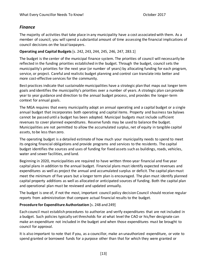## *Finance*

<span id="page-16-1"></span>The majority of activities that take place in any municipality have a cost associated with them. As a member of council, you will spend a substantial amount of time assessing the financial implications of council decisions on the local taxpayers.

#### <span id="page-16-0"></span>**Operating and Capital Budgets** [s. 242, 243, 244, 245, 246, 247, 283.1]

The budget is the center of the municipal finance system. The priorities of council will necessarily be reflected in the funding priorities established in the budget. Through the budget, council sets the municipality's priorities for the next year (or number of years) by allocating funding for each program, service, or project. Careful and realistic budget planning and control can translate into better and more cost-effective services for the community.

Best practices indicate that sustainable municipalities have a strategic plan that maps out longer term goals and identifies the municipality's priorities over a number of years. A strategic plan can provide year to year guidance and direction to the annual budget process, and provides the longer-term context for annual goals.

The MGA requires that every municipality adopt an annual operating and a capital budget or a single annual budget that incorporates both operating and capital items. Property and business tax bylaws cannot be passed until a budget has been adopted. Municipal budgets must include sufficient revenues to cover planned expenditures. Reserve funds may be used to balance the budget. Municipalities are not permitted to allow the accumulated surplus, net of equity in tangible capital assets, to be less than zero.

The operating budget is a detailed estimate of how much your municipality needs to spend to meet its ongoing financial obligations and provide programs and services to the residents. The capital budget identifies the sources and uses of funding for fixed assets such as buildings, roads, vehicles, water and sewer facilities, and land.

Beginning in 2020, municipalities are required to have written three-year financial and five year capital plans in addition to the annual budget. Financial plans must identify expected revenues and expenditures as well as project the annual and accumulated surplus or deficit. The capital plan must meet the minimum of five years but a longer term plan is encouraged. The plan must identify planned capital property additions as well as allocated or anticipated sources of funding. Both the capital plan and operational plan must be reviewed and updated annually.

The budget is one of, if not the most, important council policy decision Council should receive regular reports from administration that compare actual financial results to the budget.

### **Procedure for Expenditure Authorization** [s. 248 and 249]

Each council must establish procedures to authorize and verify expenditures that are not included in a budget. Such policies typically set thresholds for at what level the CAO or his/her designate can make an expenditure not included in the budget and when those expenditures must be brought to council for approval.

It is also important to note that if you, as a councillor, make an unauthorized expenditure, or vote to spend granted or borrowed funds for a purpose other than that for which they were granted or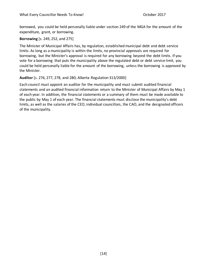borrowed, you could be held personally liable under section 249 of the MGA for the amount of the expenditure, grant, or borrowing.

<span id="page-17-0"></span>**Borrowing** [s. 249, 252, and 275]

The Minister of Municipal Affairs has, by regulation, established municipal debt and debt service limits. As long as a municipality is within the limits, no provincial approvals are required for borrowing, but the Minister's approval is required for any borrowing beyond the debt limits. If you vote for a borrowing that puts the municipality above the regulated debt or debt service limit, you could be held personally liable for the amount of the borrowing, unless the borrowing is approved by the Minister.

#### <span id="page-17-1"></span>**Auditor** [s. 276, 277, 278, and 280; Alberta Regulation 313/2000]

<span id="page-17-2"></span>Each council must appoint an auditor for the municipality and must submit audited financial statements and an audited financial information return to the Minister of Municipal Affairs by May 1 of each year. In addition, the financial statements or a summary of them must be made available to the public by May 1 of each year. The financial statements must disclose the municipality's debt limits, as well as the salaries of the CEO, individual councillors, the CAO, and the designated officers of the municipality.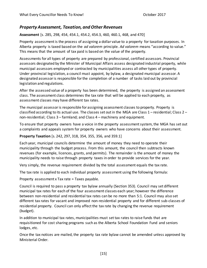### *Property Assessment, Taxation, and Other Revenues*

<span id="page-18-0"></span>**Assessment** [s. 285, 298, 454, 454.1, 454.2, 454.3, 460, 460.1, 468, and 470]

Property assessment is the process of assigning a dollar value to a property for taxation purposes. In Alberta property is taxed based on the *ad valorem* principle. *Ad valorem* means "according to value." This means that the amount of tax paid is based on the value of the property.

Assessments for all types of property are prepared by professional, certified assessors. Provincial assessors designated by the Minister of Municipal Affairs assess designated industrial property, while municipal assessors employed or contracted by municipalities assess all other types of property. Under provincial legislation, a council must appoint, by bylaw, a designated municipal assessor. A designated assessor is responsible for the completion of a number of tasks laid out by provincial legislation and regulations.

After the assessed value of a property has been determined, the property is assigned an assessment class. The assessment class determines the tax rate that will be applied to each property, as assessment classes may have different tax rates.

The municipal assessor is responsible for assigning assessment classes to property. Property is classified according to its actual use. The classes set out in the MGA are Class  $1$  – residential; Class  $2$  – non-residential; Class 3 – farmland; and Class 4 – machinery and equipment.

To ensure that property owners have a voice in the property assessment system, the MGA has set out a complaints and appeals system for property owners who have concerns about their assessment.

#### <span id="page-18-1"></span>**Property Taxation** [s. 242, 297, 318, 354, 355, 356, and 359.1]

Each year, municipal councils determine the amount of money they need to operate their municipality through the budget process. From this amount, the council then subtracts known revenues (for example, licences, grants, and permits). The remainder is the amount of money the municipality needs to raise through property taxes in order to provide services for the year.

Very simply, the revenue requirement divided by the total assessment equals the tax rate.

The tax rate is applied to each individual property assessment using the following formula:

Property assessment x Tax rate = Taxes payable.

Council is required to pass a property tax bylaw annually (Section 353). Council may set different municipal tax rates for each of the four assessment classes each year; however the difference between non-residential and residential tax rates can be no more than 5:1. Council may also set different tax rates for vacant and improved non-residential property and for different sub-classes of residential property. Council can only affect the tax rate by changing the revenue requirement (budget).

In addition to municipal tax rates, municipalities must set tax rates to raise funds that are requisitioned for cost sharing programs such as the Alberta School Foundation Fund and seniors lodges, etc.

Once the tax notices are mailed, the property tax rate bylaw cannot be amended unless approved by Ministerial Order.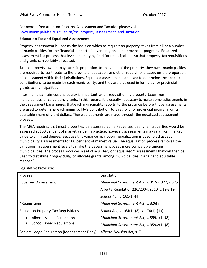For more information on Property Assessment and Taxation please visit: [www.municipalaffairs.gov.ab.ca/mc\\_property\\_assessment\\_and\\_taxation.](http://www.municipalaffairs.gov.ab.ca/mc_property_assessment_and_taxation)

#### <span id="page-19-0"></span>**Education Tax and Equalized Assessment**

Property assessment is used as the basis on which to requisition property taxes from all or a number of municipalities for the financial support of several regional and provincial programs. Equalized assessment is a process that levels the playing field for municipalities so that property tax requisitions and grants can be fairly allocated.

Just as property owners pay taxes in proportion to the value of the property they own, municipalities are required to contribute to the provincial education and other requisitions based on the proportion of assessment within their jurisdictions. Equalized assessments are used to determine the specific contributions to be made by each municipality, and they are also used in formulas for provincial grants to municipalities.

Inter-municipal fairness and equity is important when requisitioning property taxes from municipalities or calculating grants. In this regard, it is usually necessary to make some adjustments in the assessment base figures that each municipality reports to the province before those assessments are used to determine each municipality's contribution to a regional or provincial program, or its equitable share of grant dollars. These adjustments are made through the equalized assessment process.

The MGA requires that most properties be assessed at market value. Ideally, all properties would be assessed at 100 per cent of market value. In practice, however, assessments may vary from market value to a limited degree. Because this variance may occur, equalization is used to adjust each municipality's assessments to 100 per cent of market value. The equalization process removes the variations in assessment levels to make the assessment bases more comparable among municipalities. The process produces a set of adjusted, or "equalized," assessments that can then be used to distribute \**requisitions,* or allocate grants, among municipalities in a fair and equitable manner."

| <b>Process</b>                                | Legislation                                    |
|-----------------------------------------------|------------------------------------------------|
| <b>Equalized Assessment</b>                   | Municipal Government Act, s. 317-s. 322, s.325 |
|                                               | Alberta Regulation 220/2004, s. 10, s.13-s.19  |
|                                               | School Act, s. 161(1)-(4)                      |
| *Requisitions                                 | Municipal Government Act, s. 326(a)            |
| <b>Education Property Tax Requisitions</b>    | School Act, s. 164(1)-(8), s. 174(1)-(13)      |
| Alberta School Foundation<br>$\bullet$        | Municipal Government Act, s, 359.1(1)-(8)      |
| <b>School Board Requisitions</b><br>$\bullet$ | Municipal Government Act, s. 359.2(1)-(8)      |
| Seniors Lodge Requisition (Management Body)   | Alberta Housing Act, s.7                       |

Legislative Provisions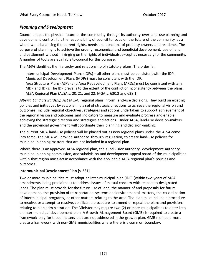## <span id="page-20-0"></span>*Planning and Development*

Council shapes the physical future of the community through its authority over land-use planning and development control. It is the responsibility of council to focus on the future of the community as a whole while balancing the current rights, needs and concerns of property owners and residents. The purpose of planning is to achieve the orderly, economical and beneficial development, use of land and settlement without infringing on the rights of individuals, except as necessary for the community. A number of tools are available to council for this purpose.

The *MGA* identifies the hierarchy and relationship of statutory plans. The order is:

Intermunicipal Development Plans (IDPs) – all other plans must be consistent with the IDP. Municipal Development Plans (MDPs) must be consistent with the IDP.

Area Structure Plans (ASPs) and Area Redevelopment Plans (ARDs) must be consistent with any MDP and IDPs. The IDP prevails to the extent of the conflict or inconsistency between the plans. ALSA Regional Plan (ALSA s. 20, 21, and 22; MGA s. 630.2 and 638.1)

*Alberta Land Stewardship Act (ALSA)* regional plans inform land-use decisions. They build on existing policies and initiatives by establishing a set of strategic directions to achieve the regional vision and outcomes, include regional objectives, strategies and actions undertaken to support achievement of the regional vision and outcomes and indicators to measure and evaluate progress and enable achieving the strategic direction and strategies and actions. Under ALSA, land-use decision-makers and the provincial government will coordinate their planning and decision-making.

The current MGA land-use policies will be phased out as new regional plans under the ALSA come into force. The MGA will provide authority, through regulation, to create land-use policies for municipal planning matters that are not included in a regional plan.

Where there is an approved ALSA regional plan, the subdivision authority, development authority, municipal planning commission, and subdivision and development appeal board of the municipalities within that region must act in accordance with the applicable ALSA regional plan's policies and outcomes.

#### <span id="page-20-1"></span>**Intermunicipal Development Plan** [s. 631]

Two or more municipalities must adopt an inter-municipal plan (IDP) (within two years of MGA amendments being proclaimed) to address issues of mutual concern with respect to designated lands. The plan must provide for the future use of land, the manner of and proposals for future development, the provision of transportation systems and environmental matters, the co-ordination of intermunicipal programs, or other matters relating to the area. The plan must include a procedure to resolve, or attempt to resolve, conflicts; a procedure to amend or repeal the plan; and provisions relating to plan administration. The Minister may require two (2) or more municipalities to enter into an inter-municipal development plan. A Growth Management Board (GMB) is required to create a framework only for those matters that are not addressed in the growth plan. GMB members must create a framework with non-GMB municipalities where there is a common boundary.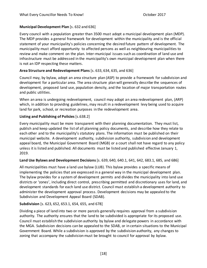### <span id="page-21-0"></span>**Municipal Development Plan** [s. 632 and 636]

Every council with a population greater than 3500 must adopt a municipal development plan (MDP). The MDP provides a general framework for development within the municipality and is the official statement of your municipality's policies concerning the desired future pattern of development. The municipality must afford opportunity to affected persons as well as neighbouring municipalities to review and make comment on the plan. Inter-municipal issues such as coordination of land use and infrastructure must be addressed in the municipality's own municipal development plan when there is not an IDP respecting these matters.

### <span id="page-21-1"></span>**Area Structure and Redevelopment Plans** [s. 633, 634, 635, and 636]

Council may, by bylaw, adopt an area structure plan (ASP) to provide a framework for subdivision and development for a particular area. The area structure plan will generally describe the sequences of development, proposed land use, population density, and the location of major transportation routes and public utilities.

When an area is undergoing redevelopment, council may adopt an area redevelopment plan, (ARP) which, in addition to providing guidelines, may result in a redevelopment levy being used to acquire land for park, school, or recreation purposes in the redevelopment area.

### <span id="page-21-2"></span>**Listing and Publishing of Policies** [s.638.2]

Every municipality must be more transparent with their planning documentation. They must list, publish and keep updated the list of all planning policy documents, and describe how they relate to each other and to the municipality's statutory plans. The information must be published on their municipal website. A development authority, subdivision authority, subdivision and development appeal board, the Municipal Government Board (MGB) or a court shall not have regard to any policy unless it is listed and published. All documents must be listed and published effective January 1, 2019.

### <span id="page-21-3"></span>**Land Use Bylaws and Development Decisions**[s. 639, 640, 640.1, 641, 642, 683.1, 685, and 686]

All municipalities must have a land use bylaw (LUB). This bylaw provides a specific means of implementing the policies that are expressed in a general way in the municipal development plan. The bylaw provides for a system of development permits and divides the municipality into land use districts or 'zones', including direct control, prescribing permitted and discretionary uses for land, and development standards for each land use district. Council must establish a development authority to administer the development approval process. Development decisions may be appealed to the Subdivision and Development Appeal Board (SDAB).

## <span id="page-21-4"></span>**Subdivision** [s. 623, 652, 653.1, 654, 655, and 678]

Dividing a piece of land into two or more parcels generally requires approval from a subdivision authority. The authority ensures that the land to be subdivided is appropriate for its proposed use. Council must establish the subdivision authority by bylaw and delegate powers in accordance with the MGA. Subdivision decisions can be appealed to the SDAB, or in certain situations to the Municipal Government Board. While a subdivision is approved by the subdivision authority, any changes to zoning that accompany the subdivision must be brought to council for approval by bylaw.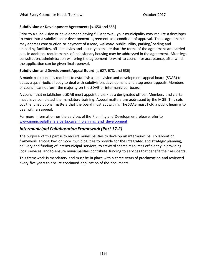#### <span id="page-22-0"></span>**Subdivision or Development Agreements** [s. 650 and 655]

Prior to a subdivision or development having full approval, your municipality may require a developer to enter into a subdivision or development agreement as a condition of approval. These agreements may address construction or payment of a road, walkway, public utility, parking/loading and unloading facilities, off-site levies and security to ensure that the terms of the agreement are carried out. In addition, requirements of inclusionary housing may be addressed in the agreement. After legal consultation, administration will bring the agreement forward to council for acceptance, after which the application can be given final approval.

### <span id="page-22-1"></span>**Subdivision and Development Appeal Board** [s. 627, 678, and 686]

A municipal council is required to establish a subdivision and development appeal board (SDAB) to act as a quasi-judicial body to deal with subdivision, development and stop order appeals. Members of council cannot form the majority on the SDAB or intermunicipal board.

A council that establishes a SDAB must appoint a clerk as a designated officer. Members and clerks must have completed the mandatory training. Appeal matters are addressed by the MGB. This sets out the jurisdictional matters that the board must act within. The SDAB must hold a public hearing to deal with an appeal.

For more information on the services of the Planning and Development, please refer to [www.municipalaffairs.alberta.ca/am\\_planning\\_and\\_development](http://www.municipalaffairs.alberta.ca/am_planning_and_development).

## <span id="page-22-2"></span>*Intermunicipal Collaboration Framework (Part 17.2)*

The purpose of this part is to require municipalities to develop an intermunicipal collaboration framework among two or more municipalities to provide for the integrated and strategic planning, delivery and funding of intermunicipal services, to steward scarce resources efficiently in providing local services, and to ensure municipalities contribute funding to services that benefit their residents.

This framework is mandatory and must be in place within three years of proclamation and reviewed every five years to ensure continued application of the documents.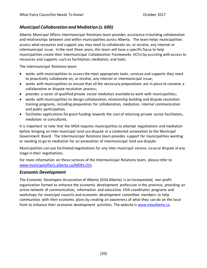## <span id="page-23-0"></span>*Municipal Collaboration and Mediation (s. 690)*

Alberta Municipal Affairs Intermunicipal Relations team provides assistance in building collaboration and relationships between and within municipalities across Alberta. The team helps municipalities assess what resources and support you may need to collaborate on, or resolve, any internal or intermunicipal issue. In the next three years, this team will have a specific focus to help municipalities create their Intermunicipal Collaboration Frameworks (ICFs) by assisting with access to resources and supports such as facilitation, mediation, and tools.

The Intermunicipal Relations team:

- works with municipalities to assess the most appropriate tools, services and supports they need to proactively collaborate on, or resolve, any internal or intermunicipal issue;
- works with municipalities to ensure that all the necessary preparations are in place to convene a collaborative or dispute resolution process;
- provides a roster of qualified private sector mediators available to work with municipalities;
- works with municipalities to design collaboration, relationship building and dispute resolution training programs, including preparation for collaboration, mediation, internal communication and public participation;
- facilitates applications for grant funding towards the cost of retaining private sector facilitators, mediators or consultants.

It is important to note that the *MGA* requires municipalities to attempt negotiations and mediation before bringing an inter-municipal land use dispute or a contested annexation to the Municipal Government Board. The Intermunicipal Relations team provides support for municipalities wanting or needing to go to mediation for an annexation of intermunicipal land use dispute.

Municipalities can use facilitated negotiations for any inter-municipal service, issue or dispute at any stage in their negotiations.

For more information on these services of the Intermunicipal Relations team, please refer to [www.municipalaffairs.alberta.ca/MDRS.cfm](http://www.municipalaffairs.alberta.ca/MDRS.cfm).

### <span id="page-23-1"></span>*Economic Development*

The Economic Developers Association of Alberta (EDA Alberta) is an incorporated, non-profit organization formed to enhance the economic development profession in the province, providing an active network of communication, information and education. EDA coordinates programs and workshops for municipal councils and economic development committee members to help communities with their economic plans by creating an awareness of what they can do on the local front to enhance their economic development activities. The website is [www.edaalberta.ca.](http://www.edaalberta.ca/)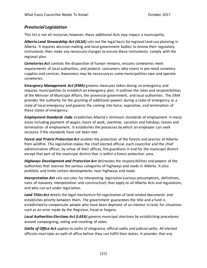## <span id="page-24-0"></span>*Provincial Legislation*

This list is not all-inclusive; however, these additional Acts may impact a municipality.

*Alberta Land Stewardship Act (ALSA)* sets out the legal basis for regional land use planning in Alberta. It requires decision-making and local government bodies to review their regulatory instruments then make any necessary changes to ensure these instruments [comply with the](https://landuse.alberta.ca/Governance/NatureEffectofRegionalPlans/Pages/Compliance.aspx)  [regional plan.](https://landuse.alberta.ca/Governance/NatureEffectofRegionalPlans/Pages/Compliance.aspx)

*Cemeteries Act* controls the disposition of human remains, ensures cemeteries meet requirements of local authorities, and protects consumers who invest in pre-need cemetery supplies and services. Awareness may be necessary as some municipalities own and operate cemeteries.

*Emergency Management Act (EMA)* governs measures taken during an emergency and requires municipalities to establish an emergency plan. It outlines the roles and responsibilities of the Minister of Municipal Affairs, the provincial government, and local authorities. The *EMA* provides the authority for the granting of additional powers during a state of emergency or a state of local emergency and governs the coming into force, expiration, and termination of these states of emergency.

*Employment Standards Code* establishes Alberta's minimum standards of employment in many areas including payment of wages, hours of work, overtime, vacation and holidays, leaves and termination of employment. It establishes the processes by which an employee can seek recourse if the standards have not been met.

*Forest and Prairie Protection Act* enables the protection of the forests and prairies of Alberta from wildfire. This legislation makes the chief elected official, each councillor and the chief administrative officer, by virtue of their offices, fire guardians in and for the municipal district except that part of the municipal district that is within a forest protection area.

*Highways Development and Protection Act* delineates the responsibilities and powers of the authorities that oversee the various categories of highways and roads in Alberta. It also prohibits and limits certain developments near highways and roads.

*Interpretation Act* sets out rules for interpreting legislation (various presumptions, definitions, rules of statutory interpretation and construction) that apply to all Alberta Acts and regulations, and who can act under legislation.

*Land Titles Act* details the legal mechanism for registration of land related documents and establishes priority between them. The government guarantees the title and a fund is established to compensate people who have been deprived of an interest in land, for situations such as an error made by the Registrar, fraud or forgery.

*Local Authorities Elections Act (LAEA) g*overns municipal elections by establishing procedures around campaigning, voting and counting of votes.

*Oaths of Office Act* applies to oaths of allegiance, official oaths and judicial oaths. All elected officials must take an oath of office before they can fulfill their duties. It provides that any